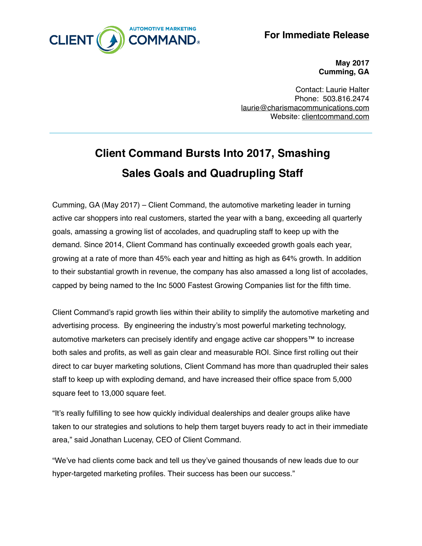

**For Immediate Release**

**May 2017 Cumming, GA**

Contact: Laurie Halter Phone: 503.816.2474 [laurie@charismacommunications.com](mailto:laurie@charismacommunications.com) Website: [clientcommand.com](http://clientcommand.com)

## **Client Command Bursts Into 2017, Smashing Sales Goals and Quadrupling Staff**

Cumming, GA (May 2017) – Client Command, the automotive marketing leader in turning active car shoppers into real customers, started the year with a bang, exceeding all quarterly goals, amassing a growing list of accolades, and quadrupling staff to keep up with the demand. Since 2014, Client Command has continually exceeded growth goals each year, growing at a rate of more than 45% each year and hitting as high as 64% growth. In addition to their substantial growth in revenue, the company has also amassed a long list of accolades, capped by being named to the Inc 5000 Fastest Growing Companies list for the fifth time.

Client Command's rapid growth lies within their ability to simplify the automotive marketing and advertising process. By engineering the industry's most powerful marketing technology, automotive marketers can precisely identify and engage active car shoppers™ to increase both sales and profits, as well as gain clear and measurable ROI. Since first rolling out their direct to car buyer marketing solutions, Client Command has more than quadrupled their sales staff to keep up with exploding demand, and have increased their office space from 5,000 square feet to 13,000 square feet.

"It's really fulfilling to see how quickly individual dealerships and dealer groups alike have taken to our strategies and solutions to help them target buyers ready to act in their immediate area," said Jonathan Lucenay, CEO of Client Command.

"We've had clients come back and tell us they've gained thousands of new leads due to our hyper-targeted marketing profiles. Their success has been our success."